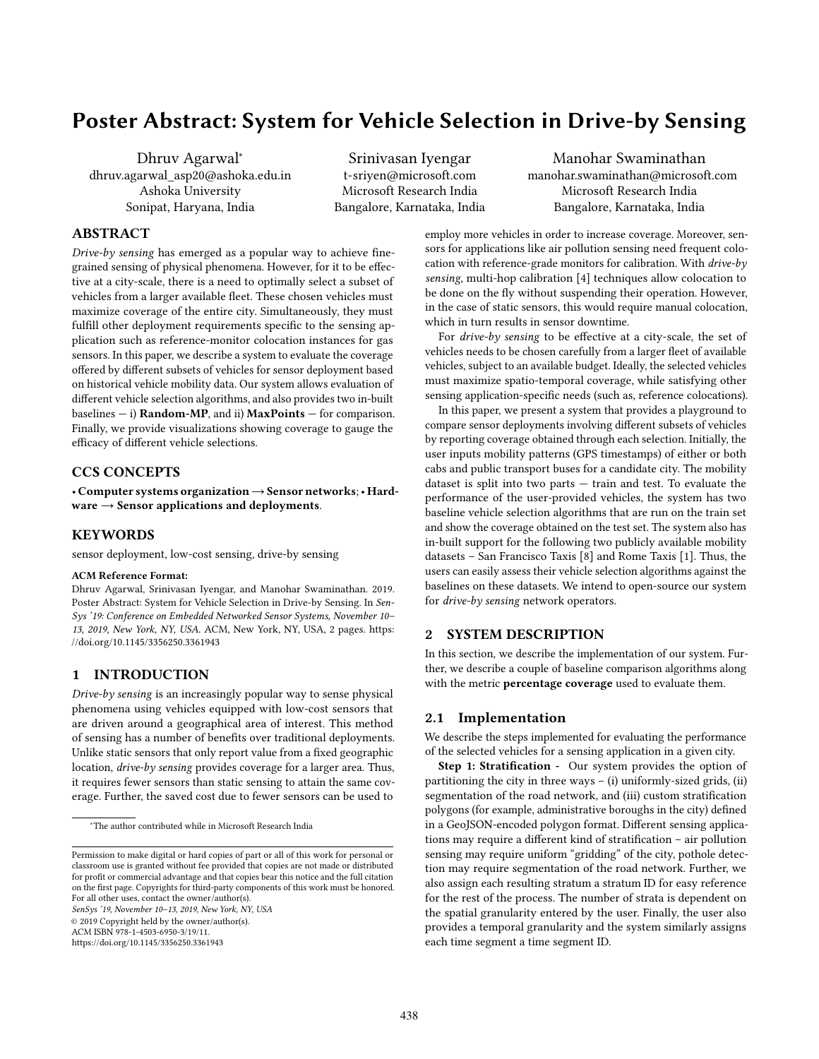# Poster Abstract: System for Vehicle Selection in Drive-by Sensing

Dhruv Agarwal<sup>∗</sup> dhruv.agarwal\_asp20@ashoka.edu.in Ashoka University Sonipat, Haryana, India

Srinivasan Iyengar t-sriyen@microsoft.com Microsoft Research India Bangalore, Karnataka, India

Manohar Swaminathan manohar.swaminathan@microsoft.com Microsoft Research India Bangalore, Karnataka, India

## ABSTRACT

Drive-by sensing has emerged as a popular way to achieve finegrained sensing of physical phenomena. However, for it to be effective at a city-scale, there is a need to optimally select a subset of vehicles from a larger available fleet. These chosen vehicles must maximize coverage of the entire city. Simultaneously, they must fulfill other deployment requirements specific to the sensing application such as reference-monitor colocation instances for gas sensors. In this paper, we describe a system to evaluate the coverage offered by different subsets of vehicles for sensor deployment based on historical vehicle mobility data. Our system allows evaluation of different vehicle selection algorithms, and also provides two in-built baselines  $-$  i) **Random-MP**, and ii) **MaxPoints**  $-$  for comparison. Finally, we provide visualizations showing coverage to gauge the efficacy of different vehicle selections.

# CCS CONCEPTS

• Computer systems organization→Sensor networks;• Hardware  $\rightarrow$  Sensor applications and deployments.

## **KEYWORDS**

sensor deployment, low-cost sensing, drive-by sensing

#### ACM Reference Format:

Dhruv Agarwal, Srinivasan Iyengar, and Manohar Swaminathan. 2019. Poster Abstract: System for Vehicle Selection in Drive-by Sensing. In Sen-Sys '19: Conference on Embedded Networked Sensor Systems, November 10– 13, 2019, New York, NY, USA. ACM, New York, NY, USA, [2](#page-1-0) pages. [https:](https://doi.org/10.1145/3356250.3361943) [//doi.org/10.1145/3356250.3361943](https://doi.org/10.1145/3356250.3361943)

## 1 INTRODUCTION

Drive-by sensing is an increasingly popular way to sense physical phenomena using vehicles equipped with low-cost sensors that are driven around a geographical area of interest. This method of sensing has a number of benefits over traditional deployments. Unlike static sensors that only report value from a fixed geographic location, drive-by sensing provides coverage for a larger area. Thus, it requires fewer sensors than static sensing to attain the same coverage. Further, the saved cost due to fewer sensors can be used to

SenSys '19, November 10–13, 2019, New York, NY, USA © 2019 Copyright held by the owner/author(s).

ACM ISBN 978-1-4503-6950-3/19/11.

<https://doi.org/10.1145/3356250.3361943>

employ more vehicles in order to increase coverage. Moreover, sensors for applications like air pollution sensing need frequent colocation with reference-grade monitors for calibration. With drive-by sensing, multi-hop calibration [\[4\]](#page-1-1) techniques allow colocation to be done on the fly without suspending their operation. However, in the case of static sensors, this would require manual colocation, which in turn results in sensor downtime.

For drive-by sensing to be effective at a city-scale, the set of vehicles needs to be chosen carefully from a larger fleet of available vehicles, subject to an available budget. Ideally, the selected vehicles must maximize spatio-temporal coverage, while satisfying other sensing application-specific needs (such as, reference colocations).

In this paper, we present a system that provides a playground to compare sensor deployments involving different subsets of vehicles by reporting coverage obtained through each selection. Initially, the user inputs mobility patterns (GPS timestamps) of either or both cabs and public transport buses for a candidate city. The mobility dataset is split into two parts — train and test. To evaluate the performance of the user-provided vehicles, the system has two baseline vehicle selection algorithms that are run on the train set and show the coverage obtained on the test set. The system also has in-built support for the following two publicly available mobility datasets – San Francisco Taxis [\[8\]](#page-1-2) and Rome Taxis [\[1\]](#page-1-3). Thus, the users can easily assess their vehicle selection algorithms against the baselines on these datasets. We intend to open-source our system for drive-by sensing network operators.

## 2 SYSTEM DESCRIPTION

In this section, we describe the implementation of our system. Further, we describe a couple of baseline comparison algorithms along with the metric percentage coverage used to evaluate them.

#### 2.1 Implementation

We describe the steps implemented for evaluating the performance of the selected vehicles for a sensing application in a given city.

Step 1: Stratification - Our system provides the option of partitioning the city in three ways  $-$  (i) uniformly-sized grids, (ii) segmentation of the road network, and (iii) custom stratification polygons (for example, administrative boroughs in the city) defined in a GeoJSON-encoded polygon format. Different sensing applications may require a different kind of stratification – air pollution sensing may require uniform "gridding" of the city, pothole detection may require segmentation of the road network. Further, we also assign each resulting stratum a stratum ID for easy reference for the rest of the process. The number of strata is dependent on the spatial granularity entered by the user. Finally, the user also provides a temporal granularity and the system similarly assigns each time segment a time segment ID.

<sup>∗</sup>The author contributed while in Microsoft Research India

Permission to make digital or hard copies of part or all of this work for personal or classroom use is granted without fee provided that copies are not made or distributed for profit or commercial advantage and that copies bear this notice and the full citation on the first page. Copyrights for third-party components of this work must be honored. For all other uses, contact the owner/author(s).